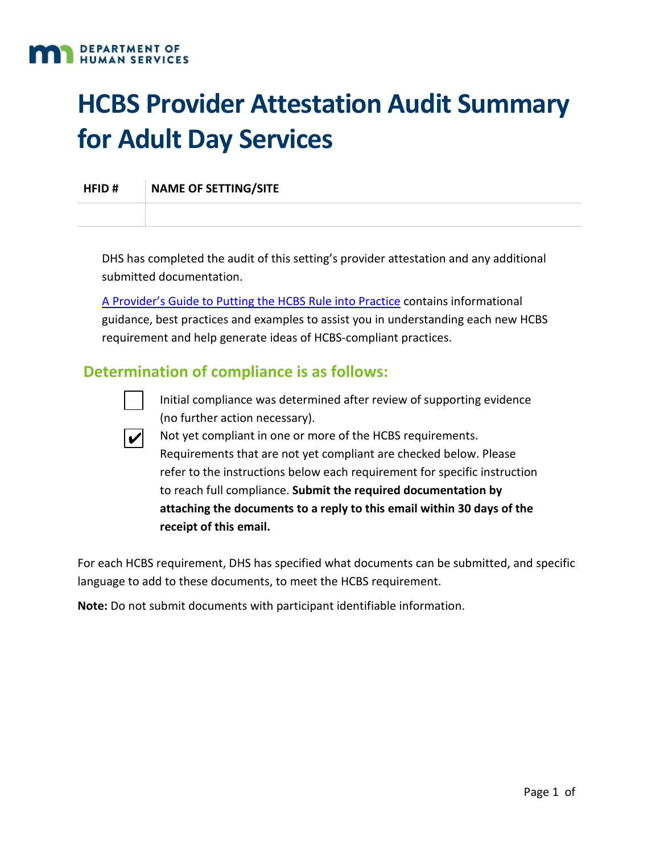

# **HCBS Provider Attestation Audit Summary for Adult Day Services**

**HFID # NAME OF SETTING/SITE**

DHS has completed the audit of this setting's provider attestation and any additional submitted documentation.

[A Provider's Guide to Putting the HCBS Rule into Practice](https://mn.gov/dhs/assets/102517-hcbs-best-practices-guide_tcm1053-318393.pdf) contains informational guidance, best practices and examples to assist you in understanding each new HCBS requirement and help generate ideas of HCBS‐compliant practices.

#### **Determination of compliance is as follows:**

Initial compliance was determined after review of supporting evidence (no further action necessary).



Not yet compliant in one or more of the HCBS requirements. Requirements that are not yet compliant are checked below. Please refer to the instructions below each requirement for specific instruction to reach full compliance. **Submit the required documentation by attaching the documents to a reply to this email within 30 days of the receipt of this email.**

For each HCBS requirement, DHS has specified what documents can be submitted, and specific language to add to these documents, to meet the HCBS requirement.

**Note:** Do not submit documents with participant identifiable information.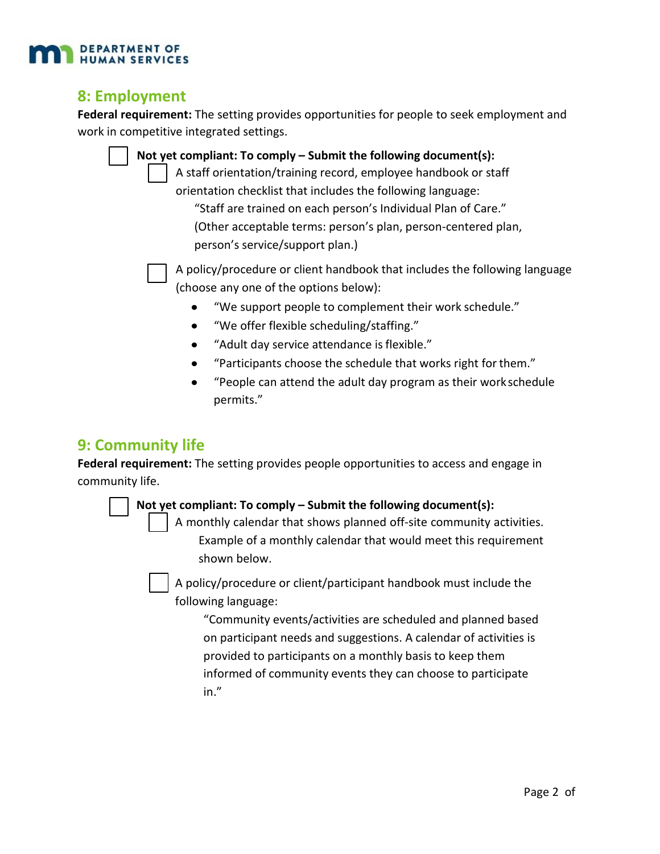

#### **8: Employment**

**Federal requirement:** The setting provides opportunities for people to seek employment and work in competitive integrated settings.

> **Not yet compliant: To comply – Submit the following document(s):** A staff orientation/training record, employee handbook or staff orientation checklist that includes the following language: "Staff are trained on each person's Individual Plan of Care." (Other acceptable terms: person's plan, person‐centered plan, person's service/support plan.)



A policy/procedure or client handbook that includes the following language (choose any one of the options below):

- "We support people to complement their work schedule."
- "We offer flexible scheduling/staffing."
- "Adult day service attendance isflexible."
- "Participants choose the schedule that works right forthem."
- "People can attend the adult day program as their workschedule permits."

# **9: Community life**

**Federal requirement:** The setting provides people opportunities to access and engage in community life.

#### **Not yet compliant: To comply – Submit the following document(s):**

A monthly calendar that shows planned off‐site community activities. Example of a monthly calendar that would meet this requirement shown below.

A policy/procedure or client/participant handbook must include the following language:

"Community events/activities are scheduled and planned based on participant needs and suggestions. A calendar of activities is provided to participants on a monthly basis to keep them informed of community events they can choose to participate in."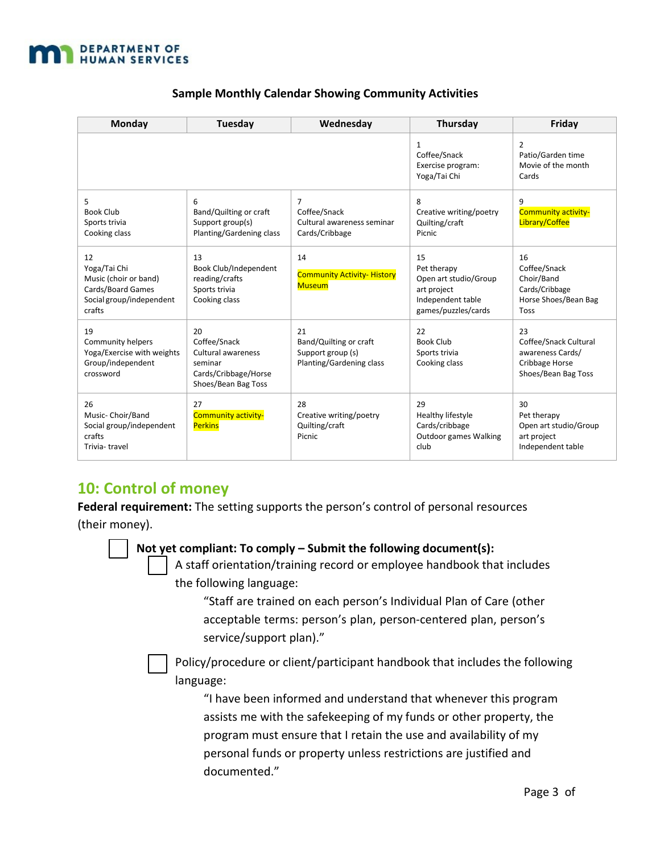

| Monday                                                                                                 | Tuesday                                                                                            | Wednesday                                                                      | Thursday                                                                                              | Friday                                                                                          |
|--------------------------------------------------------------------------------------------------------|----------------------------------------------------------------------------------------------------|--------------------------------------------------------------------------------|-------------------------------------------------------------------------------------------------------|-------------------------------------------------------------------------------------------------|
|                                                                                                        |                                                                                                    |                                                                                | $\mathbf{1}$<br>Coffee/Snack<br>Exercise program:<br>Yoga/Tai Chi                                     | $\overline{2}$<br>Patio/Garden time<br>Movie of the month<br>Cards                              |
| 5<br><b>Book Club</b><br>Sports trivia<br>Cooking class                                                | 6<br>Band/Quilting or craft<br>Support group(s)<br>Planting/Gardening class                        | $\overline{7}$<br>Coffee/Snack<br>Cultural awareness seminar<br>Cards/Cribbage | 8<br>Creative writing/poetry<br>Quilting/craft<br>Picnic                                              | $\mathbf{q}$<br><b>Community activity-</b><br>Library/Coffee                                    |
| 12<br>Yoga/Tai Chi<br>Music (choir or band)<br>Cards/Board Games<br>Social group/independent<br>crafts | 13<br>Book Club/Independent<br>reading/crafts<br>Sports trivia<br>Cooking class                    | 14<br><b>Community Activity- History</b><br><b>Museum</b>                      | 15<br>Pet therapy<br>Open art studio/Group<br>art project<br>Independent table<br>games/puzzles/cards | 16<br>Coffee/Snack<br>Choir/Band<br>Cards/Cribbage<br>Horse Shoes/Bean Bag<br><b>Toss</b>       |
| 19<br><b>Community helpers</b><br>Yoga/Exercise with weights<br>Group/independent<br>crossword         | 20<br>Coffee/Snack<br>Cultural awareness<br>seminar<br>Cards/Cribbage/Horse<br>Shoes/Bean Bag Toss | 21<br>Band/Quilting or craft<br>Support group (s)<br>Planting/Gardening class  | 22<br><b>Book Club</b><br>Sports trivia<br>Cooking class                                              | 23<br>Coffee/Snack Cultural<br>awareness Cards/<br><b>Cribbage Horse</b><br>Shoes/Bean Bag Toss |
| 26<br>Music- Choir/Band<br>Social group/independent<br>crafts<br>Trivia-travel                         | 27<br><b>Community activity-</b><br><b>Perkins</b>                                                 | 28<br>Creative writing/poetry<br>Quilting/craft<br><b>Picnic</b>               | 29<br>Healthy lifestyle<br>Cards/cribbage<br>Outdoor games Walking<br>club                            | 30<br>Pet therapy<br>Open art studio/Group<br>art project<br>Independent table                  |

#### **Sample Monthly Calendar Showing Community Activities**

# **10: Control of money**

**Federal requirement:** The setting supports the person's control of personal resources (their money).

**Not yet compliant: To comply – Submit the following document(s):**

A staff orientation/training record or employee handbook that includes the following language:

> "Staff are trained on each person's Individual Plan of Care (other acceptable terms: person's plan, person‐centered plan, person's service/support plan)."

Policy/procedure or client/participant handbook that includes the following language:

"I have been informed and understand that whenever this program assists me with the safekeeping of my funds or other property, the program must ensure that I retain the use and availability of my personal funds or property unless restrictions are justified and documented."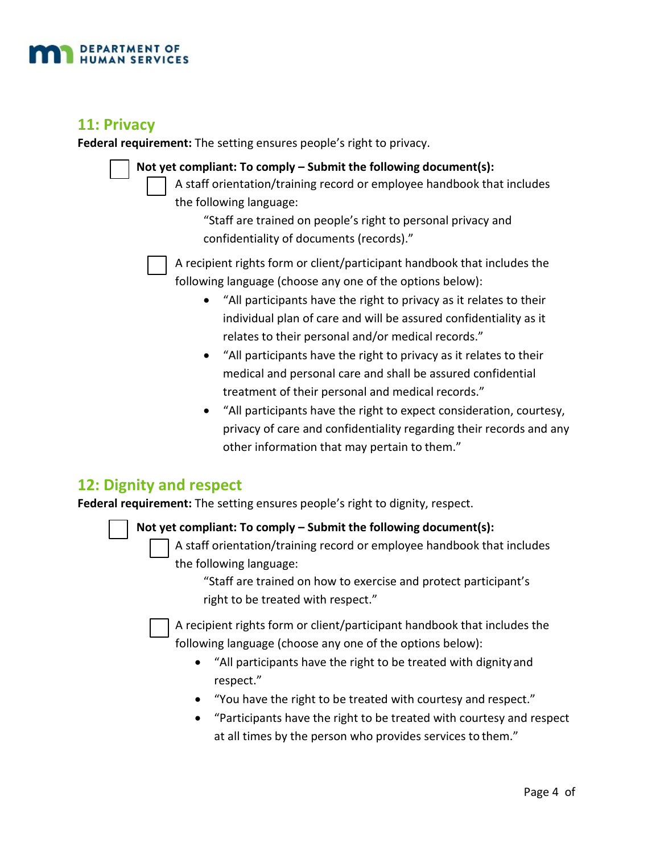

#### **11: Privacy**

**Federal requirement:** The setting ensures people's right to privacy.

|  | Not yet con |
|--|-------------|
|  | A sta       |
|  |             |

**Notable 1 or**  $\mathbf{S}$  **comply – Submit the following document(s):** aff orientation/training record or employee handbook that includes

the following language:

"Staff are trained on people's right to personal privacy and confidentiality of documents (records)."



A recipient rights form or client/participant handbook that includes the following language (choose any one of the options below):

- "All participants have the right to privacy as it relates to their individual plan of care and will be assured confidentiality as it relates to their personal and/or medical records."
- "All participants have the right to privacy as it relates to their medical and personal care and shall be assured confidential treatment of their personal and medical records."
- "All participants have the right to expect consideration, courtesy, privacy of care and confidentiality regarding their records and any other information that may pertain to them."

# **12: Dignity and respect**

☐

☐

**Federal requirement:** The setting ensures people's right to dignity, respect.

**Not yet compliant: To comply – Submit the following document(s):**

A staff orientation/training record or employee handbook that includes the following language:

"Staff are trained on how to exercise and protect participant's right to be treated with respect."

A recipient rights form or client/participant handbook that includes the following language (choose any one of the options below):

- "All participants have the right to be treated with dignityand respect."
- "You have the right to be treated with courtesy and respect."
- "Participants have the right to be treated with courtesy and respect at all times by the person who provides services to them."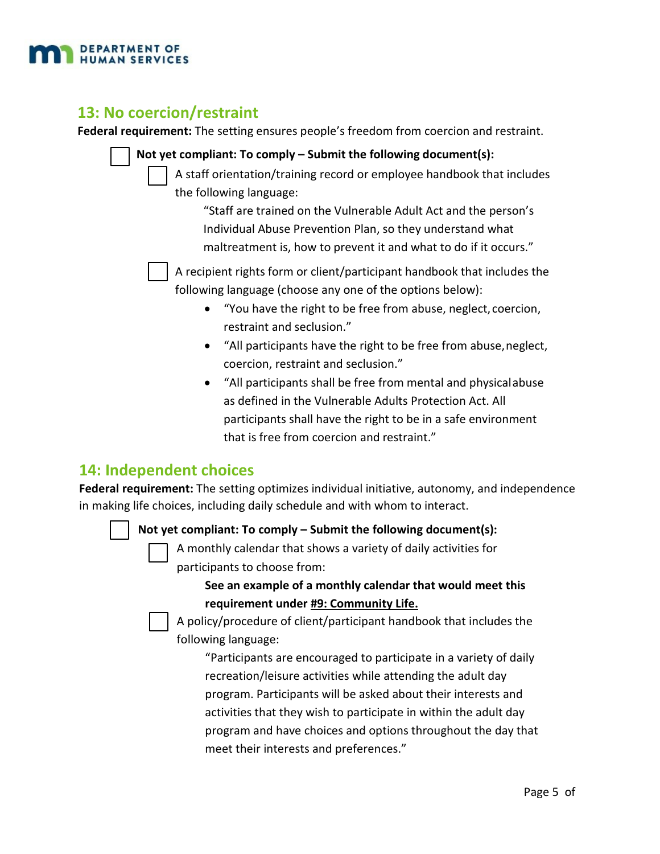

#### **13: No coercion/restraint**

**Federal requirement:** The setting ensures people's freedom from coercion and restraint.

- **Not yet compliant: To comply Submit the following document(s):** A staff orientation/training record or employee handbook that includes the following language: "Staff are trained on the Vulnerable Adult Act and the person's Individual Abuse Prevention Plan, so they understand what maltreatment is, how to prevent it and what to do if it occurs." A recipient rights form or client/participant handbook that includes the following language (choose any one of the options below): • "You have the right to be free from abuse, neglect, coercion, restraint and seclusion." • "All participants have the right to be free from abuse,neglect, coercion, restraint and seclusion." • "All participants shall be free from mental and physicalabuse
	- as defined in the Vulnerable Adults Protection Act. All participants shall have the right to be in a safe environment that is free from coercion and restraint."

# **14: Independent choices**

☐

**Federal requirement:** The setting optimizes individual initiative, autonomy, and independence in making life choices, including daily schedule and with whom to interact.

#### **Not yet compliant: To comply – Submit the following document(s):**

A monthly calendar that shows a variety of daily activities for participants to choose from:

#### **See an example of a monthly calendar that would meet this requirement under #9: Community Life.**

A policy/procedure of client/participant handbook that includes the following language:

"Participants are encouraged to participate in a variety of daily recreation/leisure activities while attending the adult day program. Participants will be asked about their interests and activities that they wish to participate in within the adult day program and have choices and options throughout the day that meet their interests and preferences."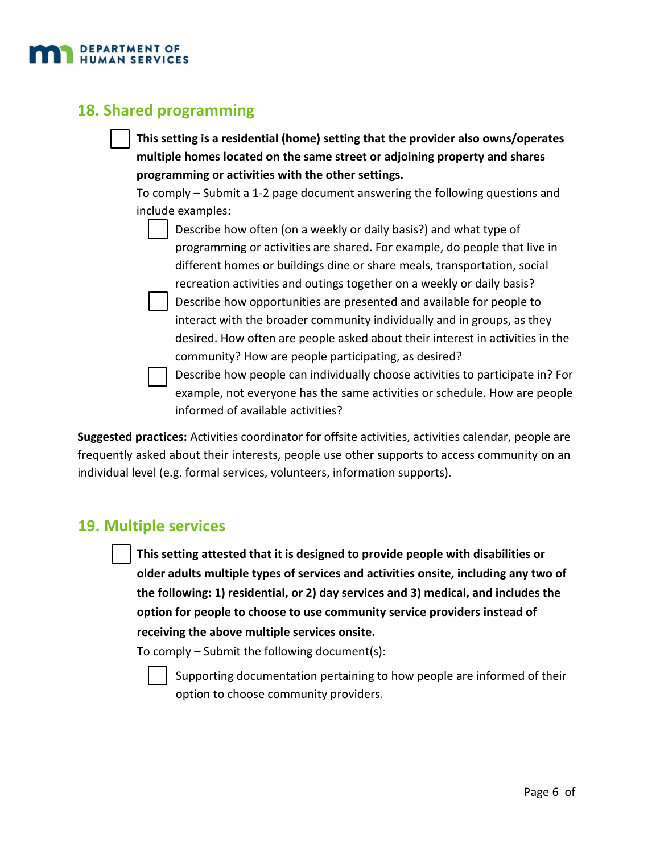

# **18. Shared programming**

| This setting is a residential (home) setting that the provider also owns/operates |
|-----------------------------------------------------------------------------------|
| multiple homes located on the same street or adjoining property and shares        |
| programming or activities with the other settings.                                |

To comply – Submit a 1‐2 page document answering the following questions and include examples:

- Describe how often (on a weekly or daily basis?) and what type of programming or activities are shared. For example, do people that live in different homes or buildings dine or share meals, transportation, social recreation activities and outings together on a weekly or daily basis?
- Describe how opportunities are presented and available for people to interact with the broader community individually and in groups, as they desired. How often are people asked about their interest in activities in the community? How are people participating, as desired?

 $\mathcal{L}_{\mathcal{A}}$ Describe how people can individually choose activities to participate in? For example, not everyone has the same activities or schedule. How are people informed of available activities?

**Suggested practices:** Activities coordinator for offsite activities, activities calendar, people are frequently asked about their interests, people use other supports to access community on an individual level (e.g. formal services, volunteers, information supports).

#### **19. Multiple services**

**This setting attested that it is designed to provide people with disabilities or older adults multiple types of services and activities onsite, including any two of the following: 1) residential, or 2) day services and 3) medical, and includes the option for people to choose to use community service providers instead of receiving the above multiple services onsite.**

To comply – Submit the following document(s):

Supporting documentation pertaining to how people are informed of their option to choose community providers.